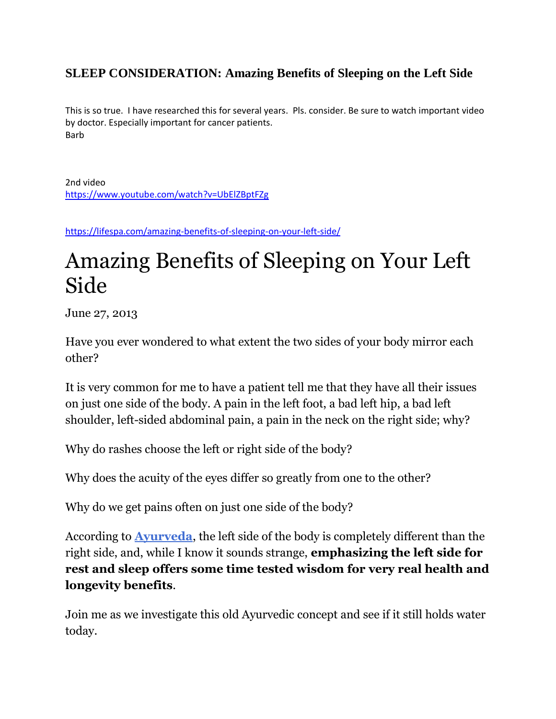#### **SLEEP CONSIDERATION: Amazing Benefits of Sleeping on the Left Side**

This is so true. I have researched this for several years. Pls. consider. Be sure to watch important video by doctor. Especially important for cancer patients. Barb

2nd video <https://www.youtube.com/watch?v=UbElZBptFZg>

<https://lifespa.com/amazing-benefits-of-sleeping-on-your-left-side/>

# Amazing Benefits of Sleeping on Your Left Side

June 27, 2013

Have you ever wondered to what extent the two sides of your body mirror each other?

It is very common for me to have a patient tell me that they have all their issues on just one side of the body. A pain in the left foot, a bad left hip, a bad left shoulder, left-sided abdominal pain, a pain in the neck on the right side; why?

Why do rashes choose the left or right side of the body?

Why does the acuity of the eyes differ so greatly from one to the other?

Why do we get pains often on just one side of the body?

According to **[Ayurveda](http://lifespa.com/about-lifespa/ayurveda/what-is-ayurveda/)**, the left side of the body is completely different than the right side, and, while I know it sounds strange, **emphasizing the left side for rest and sleep offers some time tested wisdom for very real health and longevity benefits**.

Join me as we investigate this old Ayurvedic concept and see if it still holds water today.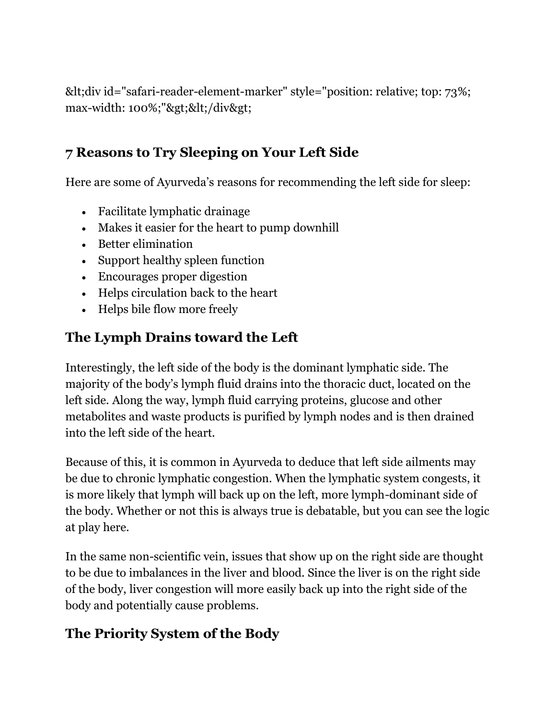<div id="safari-reader-element-marker" style="position: relative; top: 73%; max-width: 100%;"></div&gt;

#### **7 Reasons to Try Sleeping on Your Left Side**

Here are some of Ayurveda's reasons for recommending the left side for sleep:

- Facilitate lymphatic drainage
- Makes it easier for the heart to pump downhill
- Better elimination
- Support healthy spleen function
- Encourages proper digestion
- Helps circulation back to the heart
- Helps bile flow more freely

### **The Lymph Drains toward the Left**

Interestingly, the left side of the body is the dominant lymphatic side. The majority of the body's lymph fluid drains into the thoracic duct, located on the left side. Along the way, lymph fluid carrying proteins, glucose and other metabolites and waste products is purified by lymph nodes and is then drained into the left side of the heart.

Because of this, it is common in Ayurveda to deduce that left side ailments may be due to chronic lymphatic congestion. When the lymphatic system congests, it is more likely that lymph will back up on the left, more lymph-dominant side of the body. Whether or not this is always true is debatable, but you can see the logic at play here.

In the same non-scientific vein, issues that show up on the right side are thought to be due to imbalances in the liver and blood. Since the liver is on the right side of the body, liver congestion will more easily back up into the right side of the body and potentially cause problems.

#### **The Priority System of the Body**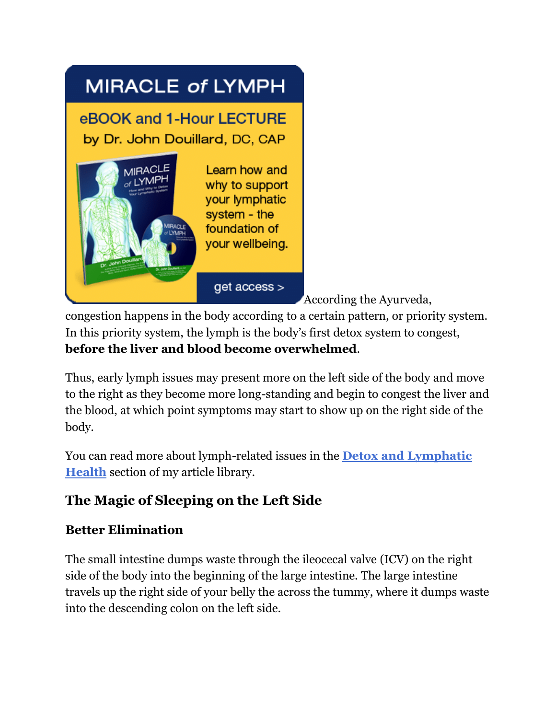

[A](http://store.lifespa.com/lymph_ebook.html)ccording the Ayurveda,

congestion happens in the body according to a certain pattern, or priority system. In this priority system, the lymph is the body's first detox system to congest, **before the liver and blood become overwhelmed**.

Thus, early lymph issues may present more on the left side of the body and move to the right as they become more long-standing and begin to congest the liver and the blood, at which point symptoms may start to show up on the right side of the body.

You can read more about lymph-related issues in the **[Detox and Lymphatic](https://lifespa.com/category/lymphatic-detox/)  [Health](https://lifespa.com/category/lymphatic-detox/)** section of my article library.

# **The Magic of Sleeping on the Left Side**

#### **Better Elimination**

The small intestine dumps waste through the ileocecal valve (ICV) on the right side of the body into the beginning of the large intestine. The large intestine travels up the right side of your belly the across the tummy, where it dumps waste into the descending colon on the left side.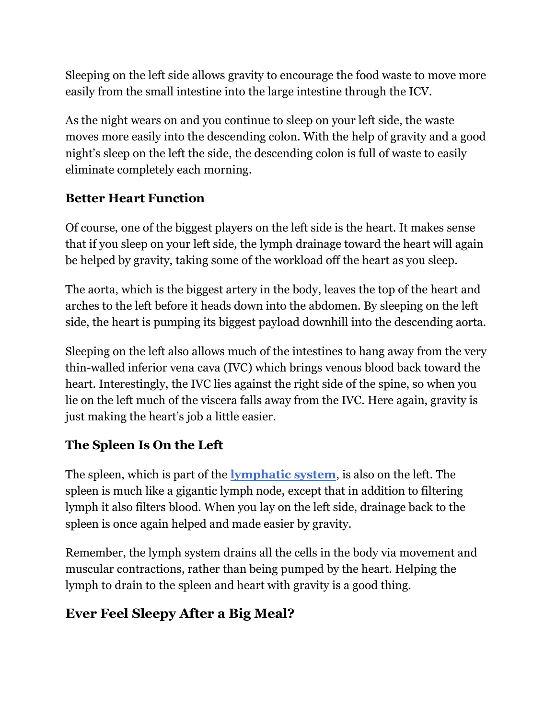Sleeping on the left side allows gravity to encourage the food waste to move more easily from the small intestine into the large intestine through the ICV.

As the night wears on and you continue to sleep on your left side, the waste moves more easily into the descending colon. With the help of gravity and a good night's sleep on the left the side, the descending colon is full of waste to easily eliminate completely each morning.

#### **Better Heart Function**

Of course, one of the biggest players on the left side is the heart. It makes sense that if you sleep on your left side, the lymph drainage toward the heart will again be helped by gravity, taking some of the workload off the heart as you sleep.

The aorta, which is the biggest artery in the body, leaves the top of the heart and arches to the left before it heads down into the abdomen. By sleeping on the left side, the heart is pumping its biggest payload downhill into the descending aorta.

Sleeping on the left also allows much of the intestines to hang away from the very thin-walled inferior vena cava (IVC) which brings venous blood back toward the heart. Interestingly, the IVC lies against the right side of the spine, so when you lie on the left much of the viscera falls away from the IVC. Here again, gravity is just making the heart's job a little easier.

#### **The Spleen Is On the Left**

The spleen, which is part of the **[lymphatic system](https://lifespa.com/ayurvedic-treatment-health-topics/lymph-health/)**, is also on the left. The spleen is much like a gigantic lymph node, except that in addition to filtering lymph it also filters blood. When you lay on the left side, drainage back to the spleen is once again helped and made easier by gravity.

Remember, the lymph system drains all the cells in the body via movement and muscular contractions, rather than being pumped by the heart. Helping the lymph to drain to the spleen and heart with gravity is a good thing.

#### **Ever Feel Sleepy After a Big Meal?**